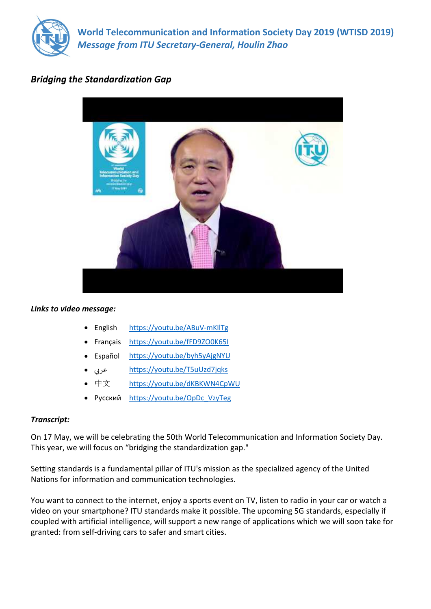

**World Telecommunication and Information Society Day 2019 (WTISD 2019)** *Message from ITU Secretary-General, Houlin Zhao*

## *Bridging the Standardization Gap*



## *Links to video message:*

- English <https://youtu.be/ABuV-mKIlTg>
- Français <https://youtu.be/fFD9ZO0K65I>
- Español <https://youtu.be/byh5yAjgNYU>
- عري بي <https://youtu.be/T5uUzd7jqks>
- 中文 <https://youtu.be/dKBKWN4CpWU>
- Русский [https://youtu.be/OpDc\\_VzyTeg](https://youtu.be/OpDc_VzyTeg)

## *Transcript:*

On 17 May, we will be celebrating the 50th World Telecommunication and Information Society Day. This year, we will focus on "bridging the standardization gap."

Setting standards is a fundamental pillar of ITU's mission as the specialized agency of the United Nations for information and communication technologies.

You want to connect to the internet, enjoy a sports event on TV, listen to radio in your car or watch a video on your smartphone? ITU standards make it possible. The upcoming 5G standards, especially if coupled with artificial intelligence, will support a new range of applications which we will soon take for granted: from self-driving cars to safer and smart cities.